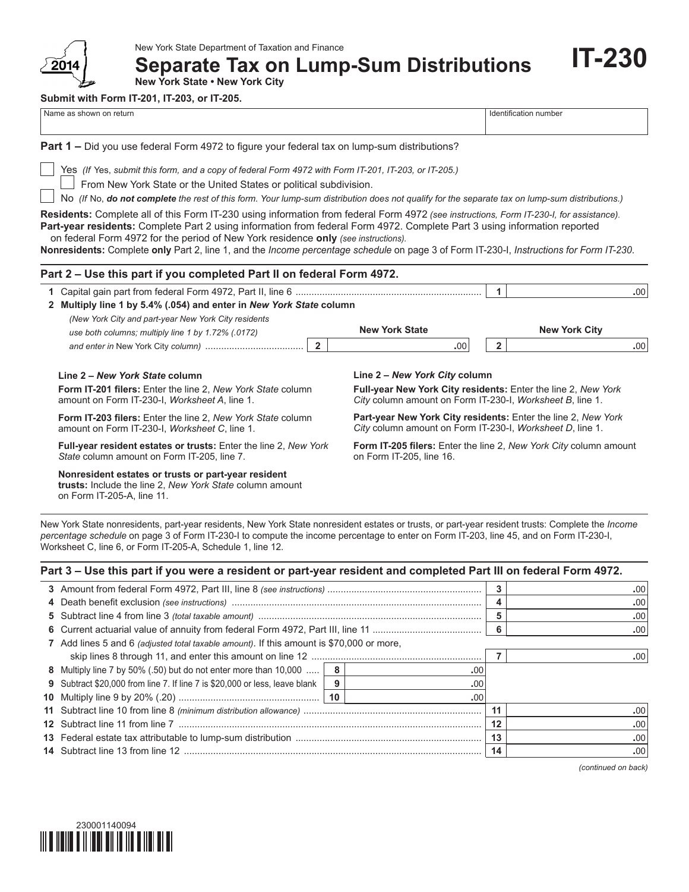

**Separate Tax on Lump-Sum Distributions**

**IT-230**

**New York State • New York City**

**Submit with Form IT-201, IT-203, or IT-205.**

| Name as shown on return                                                                                                                                                                                                                                                                                                                                                                                                                                                                                |                                                                                                                            | Identification number                                                                                                             |     |  |
|--------------------------------------------------------------------------------------------------------------------------------------------------------------------------------------------------------------------------------------------------------------------------------------------------------------------------------------------------------------------------------------------------------------------------------------------------------------------------------------------------------|----------------------------------------------------------------------------------------------------------------------------|-----------------------------------------------------------------------------------------------------------------------------------|-----|--|
| <b>Part 1 –</b> Did you use federal Form 4972 to figure your federal tax on lump-sum distributions?                                                                                                                                                                                                                                                                                                                                                                                                    |                                                                                                                            |                                                                                                                                   |     |  |
| Yes (If Yes, submit this form, and a copy of federal Form 4972 with Form IT-201, IT-203, or IT-205.)<br>From New York State or the United States or political subdivision.<br>No (If No, do not complete the rest of this form. Your lump-sum distribution does not qualify for the separate tax on lump-sum distributions.)                                                                                                                                                                           |                                                                                                                            |                                                                                                                                   |     |  |
| Residents: Complete all of this Form IT-230 using information from federal Form 4972 (see instructions, Form IT-230-I, for assistance).<br>Part-year residents: Complete Part 2 using information from federal Form 4972. Complete Part 3 using information reported<br>on federal Form 4972 for the period of New York residence only (see instructions).<br>Nonresidents: Complete only Part 2, line 1, and the Income percentage schedule on page 3 of Form IT-230-I, Instructions for Form IT-230. |                                                                                                                            |                                                                                                                                   |     |  |
| Part 2 – Use this part if you completed Part II on federal Form 4972.                                                                                                                                                                                                                                                                                                                                                                                                                                  |                                                                                                                            |                                                                                                                                   |     |  |
|                                                                                                                                                                                                                                                                                                                                                                                                                                                                                                        |                                                                                                                            | 1                                                                                                                                 | .00 |  |
| 2 Multiply line 1 by 5.4% (.054) and enter in New York State column<br>(New York City and part-year New York City residents                                                                                                                                                                                                                                                                                                                                                                            |                                                                                                                            |                                                                                                                                   |     |  |
| use both columns; multiply line 1 by 1.72% (.0172)                                                                                                                                                                                                                                                                                                                                                                                                                                                     | <b>New York State</b>                                                                                                      | <b>New York City</b>                                                                                                              |     |  |
| $\overline{2}$                                                                                                                                                                                                                                                                                                                                                                                                                                                                                         | .00                                                                                                                        | $\overline{2}$                                                                                                                    | .00 |  |
| Line 2 - New York State column                                                                                                                                                                                                                                                                                                                                                                                                                                                                         | Line 2 – New York City column                                                                                              |                                                                                                                                   |     |  |
| <b>Form IT-201 filers:</b> Enter the line 2, New York State column<br>amount on Form IT-230-I, Worksheet A, line 1.                                                                                                                                                                                                                                                                                                                                                                                    | Full-year New York City residents: Enter the line 2, New York<br>City column amount on Form IT-230-I, Worksheet B, line 1. |                                                                                                                                   |     |  |
| <b>Form IT-203 filers:</b> Enter the line 2, New York State column<br>amount on Form IT-230-I, Worksheet C, line 1.                                                                                                                                                                                                                                                                                                                                                                                    |                                                                                                                            | <b>Part-year New York City residents:</b> Enter the line 2, New York<br>City column amount on Form IT-230-I, Worksheet D, line 1. |     |  |
| Full-year resident estates or trusts: Enter the line 2, New York<br>State column amount on Form IT-205, line 7.                                                                                                                                                                                                                                                                                                                                                                                        | <b>Form IT-205 filers:</b> Enter the line 2, New York City column amount<br>on Form IT-205, line 16.                       |                                                                                                                                   |     |  |
|                                                                                                                                                                                                                                                                                                                                                                                                                                                                                                        |                                                                                                                            |                                                                                                                                   |     |  |

**Nonresident estates or trusts or part-year resident trusts:** Include the line 2, *New York State* column amount on Form IT-205-A, line 11.

New York State nonresidents, part-year residents, New York State nonresident estates or trusts, or part-year resident trusts: Complete the *Income percentage schedule* on page 3 of Form IT-230-I to compute the income percentage to enter on Form IT‑203, line 45, and on Form IT-230-I, Worksheet C, line 6, or Form IT-205-A, Schedule 1, line 12.

| Part 3 – Use this part if you were a resident or part-year resident and completed Part III on federal Form 4972. |   |     |         |     |
|------------------------------------------------------------------------------------------------------------------|---|-----|---------|-----|
|                                                                                                                  |   |     | 3       | .00 |
|                                                                                                                  |   |     | 4       | .00 |
|                                                                                                                  |   |     | 5       | .00 |
|                                                                                                                  |   | 6   | .00     |     |
| 7 Add lines 5 and 6 <i>(adjusted total taxable amount)</i> . If this amount is \$70,000 or more,                 |   |     |         |     |
|                                                                                                                  |   |     | .00     |     |
| 8 Multiply line 7 by 50% (.50) but do not enter more than 10,000    8                                            |   | .00 |         |     |
| <b>9</b> Subtract \$20,000 from line 7. If line 7 is \$20,000 or less, leave blank                               | 9 | .00 |         |     |
|                                                                                                                  |   | .00 |         |     |
|                                                                                                                  |   |     | 11      | .00 |
|                                                                                                                  |   |     | $12 \,$ | .00 |
|                                                                                                                  |   |     | 13      | .00 |
|                                                                                                                  |   |     | 14      | .00 |
|                                                                                                                  |   |     |         |     |

*(continued on back)*